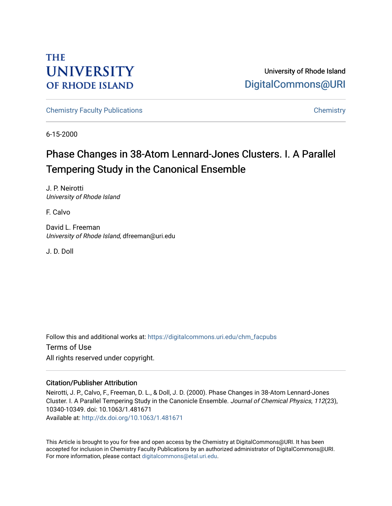## **THE UNIVERSITY OF RHODE ISLAND**

University of Rhode Island [DigitalCommons@URI](https://digitalcommons.uri.edu/) 

[Chemistry Faculty Publications](https://digitalcommons.uri.edu/chm_facpubs) **Chemistry** Chemistry

6-15-2000

# Phase Changes in 38-Atom Lennard-Jones Clusters. I. A Parallel Tempering Study in the Canonical Ensemble

J. P. Neirotti University of Rhode Island

F. Calvo

David L. Freeman University of Rhode Island, dfreeman@uri.edu

J. D. Doll

Follow this and additional works at: [https://digitalcommons.uri.edu/chm\\_facpubs](https://digitalcommons.uri.edu/chm_facpubs?utm_source=digitalcommons.uri.edu%2Fchm_facpubs%2F21&utm_medium=PDF&utm_campaign=PDFCoverPages)  Terms of Use All rights reserved under copyright.

### Citation/Publisher Attribution

Neirotti, J. P., Calvo, F., Freeman, D. L., & Doll, J. D. (2000). Phase Changes in 38-Atom Lennard-Jones Cluster. I. A Parallel Tempering Study in the Canonicle Ensemble. Journal of Chemical Physics, 112(23), 10340-10349. doi: 10.1063/1.481671 Available at:<http://dx.doi.org/10.1063/1.481671>

This Article is brought to you for free and open access by the Chemistry at DigitalCommons@URI. It has been accepted for inclusion in Chemistry Faculty Publications by an authorized administrator of DigitalCommons@URI. For more information, please contact [digitalcommons@etal.uri.edu](mailto:digitalcommons@etal.uri.edu).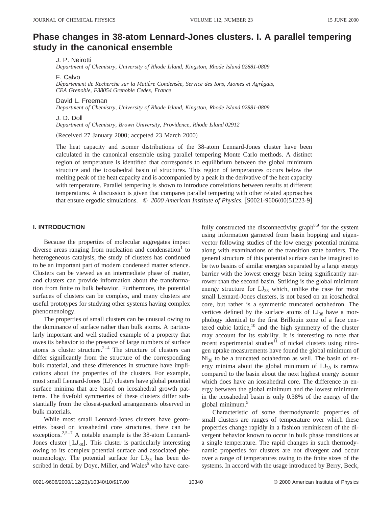### **Phase changes in 38-atom Lennard-Jones clusters. I. A parallel tempering study in the canonical ensemble**

J. P. Neirotti

*Department of Chemistry, University of Rhode Island, Kingston, Rhode Island 02881-0809*

F. Calvo

Département de Recherche sur la Matière Condensée, Service des Ions, Atomes et Agrégats, *CEA Grenoble, F38054 Grenoble Cedex, France*

David L. Freeman

*Department of Chemistry, University of Rhode Island, Kingston, Rhode Island 02881-0809*

J. D. Doll

*Department of Chemistry, Brown University, Providence, Rhode Island 02912*

(Received 27 January 2000; accpeted 23 March 2000)

The heat capacity and isomer distributions of the 38-atom Lennard-Jones cluster have been calculated in the canonical ensemble using parallel tempering Monte Carlo methods. A distinct region of temperature is identified that corresponds to equilibrium between the global minimum structure and the icosahedral basin of structures. This region of temperatures occurs below the melting peak of the heat capacity and is accompanied by a peak in the derivative of the heat capacity with temperature. Parallel tempering is shown to introduce correlations between results at different temperatures. A discussion is given that compares parallel tempering with other related approaches that ensure ergodic simulations.  $\circ$  2000 American Institute of Physics. [S0021-9606(00)51223-9]

#### **I. INTRODUCTION**

Because the properties of molecular aggregates impact diverse areas ranging from nucleation and condensation $1$  to heterogeneous catalysis, the study of clusters has continued to be an important part of modern condensed matter science. Clusters can be viewed as an intermediate phase of matter, and clusters can provide information about the transformation from finite to bulk behavior. Furthermore, the potential surfaces of clusters can be complex, and many clusters are useful prototypes for studying other systems having complex phenomenology.

The properties of small clusters can be unusual owing to the dominance of surface rather than bulk atoms. A particularly important and well studied example of a property that owes its behavior to the presence of large numbers of surface atoms is cluster structure.<sup>2–4</sup> The structure of clusters can differ significantly from the structure of the corresponding bulk material, and these differences in structure have implications about the properties of the clusters. For example, most small Lennard-Jones (LJ) clusters have global potential surface minima that are based on icosahedral growth patterns. The fivefold symmetries of these clusters differ substantially from the closest-packed arrangements observed in bulk materials.

While most small Lennard-Jones clusters have geometries based on icosahedral core structures, there can be exceptions.<sup>2,5-7</sup> A notable example is the 38-atom Lennard-Jones cluster  $[LJ_{38}]$ . This cluster is particularly interesting owing to its complex potential surface and associated phenomenology. The potential surface for  $LJ_{38}$  has been described in detail by Doye, Miller, and Wales $<sup>5</sup>$  who have care-</sup>

fully constructed the disconnectivity graph<sup>8,9</sup> for the system using information garnered from basin hopping and eigenvector following studies of the low energy potential minima along with examinations of the transition state barriers. The general structure of this potential surface can be imagined to be two basins of similar energies separated by a large energy barrier with the lowest energy basin being significantly narrower than the second basin. Striking is the global minimum energy structure for  $LJ_{38}$  which, unlike the case for most small Lennard-Jones clusters, is not based on an icosahedral core, but rather is a symmetric truncated octahedron. The vertices defined by the surface atoms of  $LJ_{38}$  have a morphology identical to the first Brillouin zone of a face centered cubic lattice, $10$  and the high symmetry of the cluster may account for its stability. It is interesting to note that recent experimental studies $11$  of nickel clusters using nitrogen uptake measurements have found the global minimum of Ni38 to be a truncated octahedron as well. The basin of energy minima about the global minimum of  $LJ_{38}$  is narrow compared to the basin about the next highest energy isomer which does have an icosahedral core. The difference in energy between the global minimum and the lowest minimum in the icosahedral basin is only 0.38% of the energy of the global minimum.<sup>5</sup>

Characteristic of some thermodynamic properties of small clusters are ranges of temperature over which these properties change rapidly in a fashion reminiscent of the divergent behavior known to occur in bulk phase transitions at a single temperature. The rapid changes in such thermodynamic properties for clusters are not divergent and occur over a range of temperatures owing to the finite sizes of the systems. In accord with the usage introduced by Berry, Beck,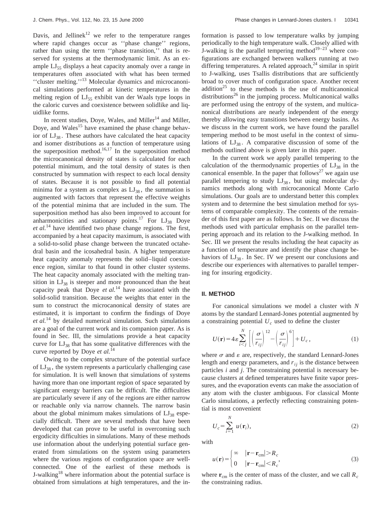Davis, and Jellinek<sup>12</sup> we refer to the temperature ranges where rapid changes occur as ''phase change'' regions, rather than using the term ''phase transition,'' that is reserved for systems at the thermodynamic limit. As an example  $LI_{55}$  displays a heat capacity anomaly over a range in temperatures often associated with what has been termed ''cluster melting.''13 Molecular dynamics and microcanonical simulations performed at kinetic temperatures in the melting region of  $LJ_{55}$  exhibit van der Waals type loops in the caloric curves and coexistence between solidlike and liquidlike forms.

In recent studies, Doye, Wales, and Miller<sup>14</sup> and Miller, Doye, and Wales<sup>15</sup> have examined the phase change behavior of  $LJ_{38}$ . These authors have calculated the heat capacity and isomer distributions as a function of temperature using the superposition method.<sup>16,17</sup> In the superposition method the microcanonical density of states is calculated for each potential minimum, and the total density of states is then constructed by summation with respect to each local density of states. Because it is not possible to find all potential minima for a system as complex as  $LJ_{38}$ , the summation is augmented with factors that represent the effective weights of the potential minima that are included in the sum. The superposition method has also been improved to account for anharmonicities and stationary points.<sup>17</sup> For  $LJ_{38}$  Doye *et al.*<sup>14</sup> have identified two phase change regions. The first, accompanied by a heat capacity maximum, is associated with a solid-to-solid phase change between the truncated octahedral basin and the icosahedral basin. A higher temperature heat capacity anomaly represents the solid–liquid coexistence region, similar to that found in other cluster systems. The heat capacity anomaly associated with the melting transition in  $LJ_{38}$  is steeper and more pronounced than the heat capacity peak that Doye *et al.*<sup>14</sup> have associated with the solid-solid transition. Because the weights that enter in the sum to construct the microcanonical density of states are estimated, it is important to confirm the findings of Doye *et al.*<sup>14</sup> by detailed numerical simulation. Such simulations are a goal of the current work and its companion paper. As is found in Sec. III, the simulations provide a heat capacity curve for  $LI_{38}$  that has some qualitative differences with the curve reported by Doye *et al.*<sup>14</sup>

Owing to the complex structure of the potential surface of  $LI_{38}$ , the system represents a particularly challenging case for simulation. It is well known that simulations of systems having more than one important region of space separated by significant energy barriers can be difficult. The difficulties are particularly severe if any of the regions are either narrow or reachable only via narrow channels. The narrow basin about the global minimum makes simulations of  $LI_{38}$  especially difficult. There are several methods that have been developed that can prove to be useful in overcoming such ergodicity difficulties in simulations. Many of these methods use information about the underlying potential surface generated from simulations on the system using parameters where the various regions of configuration space are wellconnected. One of the earliest of these methods is J-walking<sup>18</sup> where information about the potential surface is obtained from simulations at high temperatures, and the information is passed to low temperature walks by jumping periodically to the high temperature walk. Closely allied with J-walking is the parallel tempering method<sup>19–23</sup> where configurations are exchanged between walkers running at two differing temperatures. A related approach, $24$  similar in spirit to J-walking, uses Tsallis distributions that are sufficiently broad to cover much of configuration space. Another recent addition<sup>25</sup> to these methods is the use of multicanonical distributions<sup>26</sup> in the jumping process. Multicanonical walks are performed using the entropy of the system, and multicanonical distributions are nearly independent of the energy thereby allowing easy transitions between energy basins. As we discuss in the current work, we have found the parallel tempering method to be most useful in the context of simulations of  $LJ_{38}$ . A comparative discussion of some of the methods outlined above is given later in this paper.

In the current work we apply parallel tempering to the calculation of the thermodynamic properties of  $LJ_{38}$  in the canonical ensemble. In the paper that follows<sup>27</sup> we again use parallel tempering to study  $LJ_{38}$ , but using molecular dynamics methods along with microcanonical Monte Carlo simulations. Our goals are to understand better this complex system and to determine the best simulation method for systems of comparable complexity. The contents of the remainder of this first paper are as follows. In Sec. II we discuss the methods used with particular emphasis on the parallel tempering approach and its relation to the J-walking method. In Sec. III we present the results including the heat capacity as a function of temperature and identify the phase change behaviors of  $LJ_{38}$ . In Sec. IV we present our conclusions and describe our experiences with alternatives to parallel tempering for insuring ergodicity.

#### **II. METHOD**

For canonical simulations we model a cluster with *N* atoms by the standard Lennard-Jones potential augmented by a constraining potential  $U_c$  used to define the cluster

$$
U(\mathbf{r}) = 4\varepsilon \sum_{i < j}^{N} \left[ \left( \frac{\sigma}{r_{ij}} \right)^{12} - \left( \frac{\sigma}{r_{ij}} \right)^{6} \right] + U_c, \tag{1}
$$

where  $\sigma$  and  $\varepsilon$  are, respectively, the standard Lennard-Jones length and energy parameters, and  $r_{ij}$  is the distance between particles *i* and *j*. The constraining potential is necessary because clusters at defined temperatures have finite vapor pressures, and the evaporation events can make the association of any atom with the cluster ambiguous. For classical Monte Carlo simulations, a perfectly reflecting constraining potential is most convenient

$$
U_c = \sum_{i=1}^{N} u(\mathbf{r}_i),
$$
 (2)

with

$$
u(\mathbf{r}) = \begin{cases} \infty & |\mathbf{r} - \mathbf{r}_{cm}| > R_c \\ 0 & |\mathbf{r} - \mathbf{r}_{cm}| < R_c \end{cases}
$$
 (3)

where  $\mathbf{r}_{cm}$  is the center of mass of the cluster, and we call  $R_c$ the constraining radius.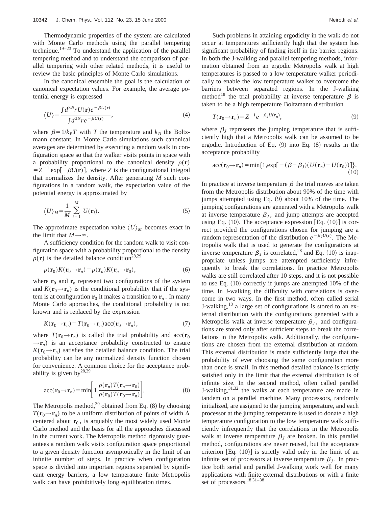Thermodynamic properties of the system are calculated with Monte Carlo methods using the parallel tempering technique.<sup>19–23</sup> To understand the application of the parallel tempering method and to understand the comparison of parallel tempering with other related methods, it is useful to review the basic principles of Monte Carlo simulations.

In the canonical ensemble the goal is the calculation of canonical expectation values. For example, the average potential energy is expressed

$$
\langle U \rangle = \frac{\int d^{3N} r U(\mathbf{r}) e^{-\beta U(\mathbf{r})}}{\int d^{3N} r e^{-\beta U(\mathbf{r})}},\tag{4}
$$

where  $\beta = 1/k_B T$  with *T* the temperature and  $k_B$  the Boltzmann constant. In Monte Carlo simulations such canonical averages are determined by executing a random walk in configuration space so that the walker visits points in space with a probability proportional to the canonical density  $\rho(\mathbf{r})$  $Z = Z^{-1}$  exp $[-\beta U(\mathbf{r})]$ , where *Z* is the configurational integral that normalizes the density. After generating *M* such configurations in a random walk, the expectation value of the potential energy is approximated by

$$
\langle U \rangle_M = \frac{1}{M} \sum_{i=1}^{M} U(\mathbf{r}_i).
$$
 (5)

The approximate expectation value  $\langle U \rangle_M$  becomes exact in the limit that  $M \rightarrow \infty$ .

A sufficiency condition for the random walk to visit configuration space with a probability proportional to the density  $\rho(\mathbf{r})$  is the detailed balance condition<sup>28,29</sup>

$$
\rho(\mathbf{r}_0)K(\mathbf{r}_0 \rightarrow \mathbf{r}_n) = \rho(\mathbf{r}_n)K(\mathbf{r}_n \rightarrow \mathbf{r}_0),
$$
\n(6)

where  $\mathbf{r}_0$  and  $\mathbf{r}_n$  represent two configurations of the system and  $K(\mathbf{r}_0 \rightarrow \mathbf{r}_n)$  is the conditional probability that if the system is at configuration  $\mathbf{r}_0$  it makes a transition to  $\mathbf{r}_n$ . In many Monte Carlo approaches, the conditional probability is not known and is replaced by the expression

$$
K(\mathbf{r}_0 \rightarrow \mathbf{r}_n) = T(\mathbf{r}_0 \rightarrow \mathbf{r}_n)\arcc(\mathbf{r}_0 \rightarrow \mathbf{r}_n),\tag{7}
$$

where  $T(\mathbf{r}_0 \rightarrow \mathbf{r}_n)$  is called the trial probability and acc( $\mathbf{r}_0$  $\rightarrow$ **r**<sub>*n*</sub>) is an acceptance probability constructed to ensure  $K(\mathbf{r}_0 \rightarrow \mathbf{r}_n)$  satisfies the detailed balance condition. The trial probability can be any normalized density function chosen for convenience. A common choice for the acceptance probability is given by  $28,29$ 

$$
\operatorname{acc}(\mathbf{r}_0 \to \mathbf{r}_n) = \min \left[ 1, \frac{\rho(\mathbf{r}_n) T(\mathbf{r}_n \to \mathbf{r}_0)}{\rho(\mathbf{r}_0) T(\mathbf{r}_0 \to \mathbf{r}_n)} \right].
$$
 (8)

The Metropolis method,<sup>30</sup> obtained from Eq.  $(8)$  by choosing  $T(\mathbf{r}_0 \rightarrow \mathbf{r}_n)$  to be a uniform distribution of points of width  $\Delta$ centered about  $\mathbf{r}_0$ , is arguably the most widely used Monte Carlo method and the basis for all the approaches discussed in the current work. The Metropolis method rigorously guarantees a random walk visits configuration space proportional to a given density function asymptotically in the limit of an infinite number of steps. In practice when configuration space is divided into important regions separated by significant energy barriers, a low temperature finite Metropolis walk can have prohibitively long equilibration times.

Such problems in attaining ergodicity in the walk do not occur at temperatures sufficiently high that the system has significant probability of finding itself in the barrier regions. In both the J-walking and parallel tempering methods, information obtained from an ergodic Metropolis walk at high temperatures is passed to a low temperature walker periodically to enable the low temperature walker to overcome the barriers between separated regions. In the J-walking method<sup>18</sup> the trial probability at inverse temperature  $\beta$  is taken to be a high temperature Boltzmann distribution

$$
T(\mathbf{r}_0 \rightarrow \mathbf{r}_n) = Z^{-1} e^{-\beta_J U(\mathbf{r}_n)},\tag{9}
$$

where  $\beta$ <sub>*I*</sub> represents the jumping temperature that is sufficiently high that a Metropolis walk can be assumed to be ergodic. Introduction of Eq.  $(9)$  into Eq.  $(8)$  results in the acceptance probability

$$
\text{acc}(\mathbf{r}_0 \rightarrow \mathbf{r}_n) = \min\{1, \exp[-(\beta - \beta_J)(U(\mathbf{r}_n) - U(\mathbf{r}_0))] \}.
$$
\n(10)

In practice at inverse temperature  $\beta$  the trial moves are taken from the Metropolis distribution about 90% of the time with jumps attempted using Eq.  $(9)$  about 10% of the time. The jumping configurations are generated with a Metropolis walk at inverse temperature  $\beta$ <sub>*I*</sub>, and jump attempts are accepted using Eq.  $(10)$ . The acceptance expression [Eq.  $(10)$ ] is correct provided the configurations chosen for jumping are a random representation of the distribution  $e^{-\beta_J U(\mathbf{r})}$ . The Metropolis walk that is used to generate the configurations at inverse temperature  $\beta_J$  is correlated,<sup>28</sup> and Eq. (10) is inappropriate unless jumps are attempted sufficiently infrequently to break the correlations. In practice Metropolis walks are still correlated after 10 steps, and it is not possible to use Eq.  $(10)$  correctly if jumps are attempted 10% of the time. In J-walking the difficulty with correlations is overcome in two ways. In the first method, often called serial J-walking, $18$  a large set of configurations is stored to an external distribution with the configurations generated with a Metropolis walk at inverse temperature  $\beta$ <sub>*J*</sub>, and configurations are stored only after sufficient steps to break the correlations in the Metropolis walk. Additionally, the configurations are chosen from the external distribution at random. This external distribution is made sufficiently large that the probability of ever choosing the same configuration more than once is small. In this method detailed balance is strictly satisfied only in the limit that the external distribution is of infinite size. In the second method, often called parallel J-walking,  $3^{1,32}$  the walks at each temperature are made in tandem on a parallel machine. Many processors, randomly initialized, are assigned to the jumping temperature, and each processor at the jumping temperature is used to donate a high temperature configuration to the low temperature walk sufficiently infrequently that the correlations in the Metropolis walk at inverse temperature  $\beta$ <sub>*I*</sub> are broken. In this parallel method, configurations are never reused, but the acceptance criterion  $Eq. (10)$  is strictly valid only in the limit of an infinite set of processors at inverse temperature  $\beta$ <sub>*I*</sub>. In practice both serial and parallel J-walking work well for many applications with finite external distributions or with a finite set of processors.<sup>18,31-38</sup>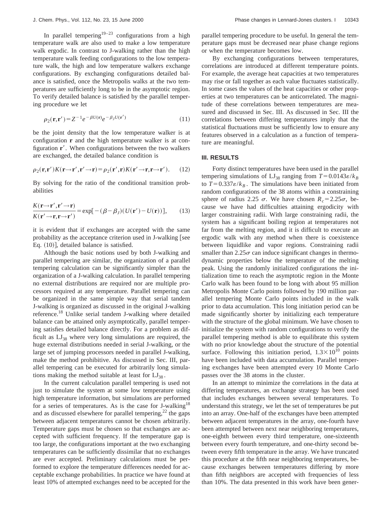In parallel tempering<sup>19–23</sup> configurations from a high temperature walk are also used to make a low temperature walk ergodic. In contrast to J-walking rather than the high temperature walk feeding configurations to the low temperature walk, the high and low temperature walkers exchange configurations. By exchanging configurations detailed balance is satisfied, once the Metropolis walks at the two temperatures are sufficiently long to be in the asymptotic region. To verify detailed balance is satisfied by the parallel tempering procedure we let

$$
\rho_2(\mathbf{r}, \mathbf{r}') = Z^{-1} e^{-\beta U(\mathbf{r})} e^{-\beta J U(\mathbf{r}')}
$$
\n(11)

be the joint density that the low temperature walker is at configuration **r** and the high temperature walker is at configuration **r**<sup> $\prime$ </sup>. When configurations between the two walkers are exchanged, the detailed balance condition is

$$
\rho_2(\mathbf{r}, \mathbf{r}')K(\mathbf{r} \to \mathbf{r}', \mathbf{r}' \to \mathbf{r}) = \rho_2(\mathbf{r}', \mathbf{r})K(\mathbf{r}' \to \mathbf{r}, \mathbf{r} \to \mathbf{r}'). \tag{12}
$$

By solving for the ratio of the conditional transition probabilities

$$
\frac{K(\mathbf{r}\rightarrow\mathbf{r}',\mathbf{r}'\rightarrow\mathbf{r})}{K(\mathbf{r}'\rightarrow\mathbf{r},\mathbf{r}\rightarrow\mathbf{r}')} = \exp[-(\beta-\beta_J)(U(\mathbf{r}')-U(\mathbf{r}))],\qquad(13)
$$

it is evident that if exchanges are accepted with the same probability as the acceptance criterion used in  $J$ -walking [see Eq.  $(10)$ ], detailed balance is satisfied.

Although the basic notions used by both J-walking and parallel tempering are similar, the organization of a parallel tempering calculation can be significantly simpler than the organization of a J-walking calculation. In parallel tempering no external distributions are required nor are multiple processors required at any temperature. Parallel tempering can be organized in the same simple way that serial tandem J-walking is organized as discussed in the original J-walking reference.18 Unlike serial tandem J-walking where detailed balance can be attained only asymptotically, parallel tempering satisfies detailed balance directly. For a problem as difficult as  $LJ_{38}$  where very long simulations are required, the huge external distributions needed in serial J-walking, or the large set of jumping processors needed in parallel J-walking, make the method prohibitive. As discussed in Sec. III, parallel tempering can be executed for arbitrarily long simulations making the method suitable at least for  $LJ_{38}$ .

In the current calculation parallel tempering is used not just to simulate the system at some low temperature using high temperature information, but simulations are performed for a series of temperatures. As is the case for J-walking<sup>18</sup> and as discussed elsewhere for parallel tempering, $^{22}$  the gaps between adjacent temperatures cannot be chosen arbitrarily. Temperature gaps must be chosen so that exchanges are accepted with sufficient frequency. If the temperature gap is too large, the configurations important at the two exchanging temperatures can be sufficiently dissimilar that no exchanges are ever accepted. Preliminary calculations must be performed to explore the temperature differences needed for acceptable exchange probabilities. In practice we have found at least 10% of attempted exchanges need to be accepted for the parallel tempering procedure to be useful. In general the temperature gaps must be decreased near phase change regions or when the temperature becomes low.

By exchanging configurations between temperatures, correlations are introduced at different temperature points. For example, the average heat capacities at two temperatures may rise or fall together as each value fluctuates statistically. In some cases the values of the heat capacities or other properties at two temperatures can be anticorrelated. The magnitude of these correlations between temperatures are measured and discussed in Sec. III. As discussed in Sec. III the correlations between differing temperatures imply that the statistical fluctuations must be sufficiently low to ensure any features observed in a calculation as a function of temperature are meaningful.

#### **III. RESULTS**

Forty distinct temperatures have been used in the parallel tempering simulations of  $LJ_{38}$  ranging from  $T=0.0143\varepsilon/k_B$ to  $T=0.337\varepsilon/k_B$ . The simulations have been initiated from random configurations of the 38 atoms within a constraining sphere of radius 2.25  $\sigma$ . We have chosen  $R_c = 2.25\sigma$ , because we have had difficulties attaining ergodicity with larger constraining radii. With large constraining radii, the system has a significant boiling region at temperatures not far from the melting region, and it is difficult to execute an ergodic walk with any method when there is coexistence between liquidlike and vapor regions. Constraining radii smaller than  $2.25\sigma$  can induce significant changes in thermodynamic properties below the temperature of the melting peak. Using the randomly initialized configurations the initialization time to reach the asymptotic region in the Monte Carlo walk has been found to be long with about 95 million Metropolis Monte Carlo points followed by 190 million parallel tempering Monte Carlo points included in the walk prior to data accumulation. This long initiation period can be made significantly shorter by initializing each temperature with the structure of the global minimum. We have chosen to initialize the system with random configurations to verify the parallel tempering method is able to equilibrate this system with no prior knowledge about the structure of the potential surface. Following this initiation period,  $1.3 \times 10^{10}$  points have been included with data accumulation. Parallel tempering exchanges have been attempted every 10 Monte Carlo passes over the 38 atoms in the cluster.

In an attempt to minimize the correlations in the data at differing temperatures, an exchange strategy has been used that includes exchanges between several temperatures. To understand this strategy, we let the set of temperatures be put into an array. One-half of the exchanges have been attempted between adjacent temperatures in the array, one-fourth have been attempted between next near neighboring temperatures, one-eighth between every third temperature, one-sixteenth between every fourth temperature, and one-thirty second between every fifth temperature in the array. We have truncated this procedure at the fifth near neighboring temperatures, because exchanges between temperatures differing by more than fifth neighbors are accepted with frequencies of less than 10%. The data presented in this work have been gener-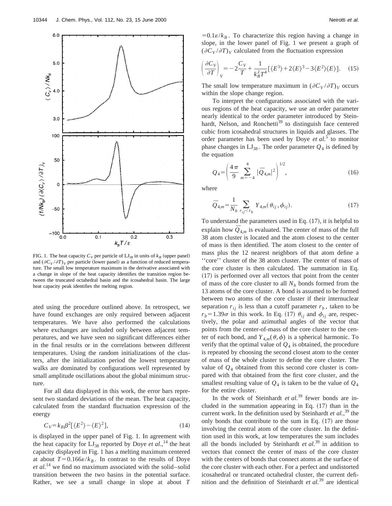

FIG. 1. The heat capacity  $C_V$  per particle of  $L_{38}$  in units of  $k_B$  (upper panel) and  $(\partial C_V / \partial T)_V$  per particle (lower panel) as a function of reduced temperature. The small low temperature maximum in the derivative associated with a change in slope of the heat capacity identifies the transition region between the truncated octahedral basin and the icosahedral basin. The large heat capacity peak identifies the melting region.

ated using the procedure outlined above. In retrospect, we have found exchanges are only required between adjacent temperatures. We have also performed the calculations where exchanges are included only between adjacent temperatures, and we have seen no significant differences either in the final results or in the correlations between different temperatures. Using the random initializations of the clusters, after the initialization period the lowest temperature walks are dominated by configurations well represented by small amplitude oscillations about the global minimum structure.

For all data displayed in this work, the error bars represent two standard deviations of the mean. The heat capacity, calculated from the standard fluctuation expression of the energy

$$
C_V = k_B \beta^2 \left[ \langle E^2 \rangle - \langle E \rangle^2 \right],\tag{14}
$$

is displayed in the upper panel of Fig. 1. In agreement with the heat capacity for  $LJ_{38}$  reported by Doye *et al.*<sup>14</sup> the heat capacity displayed in Fig. 1 has a melting maximum centered at about  $T=0.166\varepsilon/k_B$ . In contrast to the results of Doye *et al.*<sup>14</sup> we find no maximum associated with the solid–solid transition between the two basins in the potential surface. Rather, we see a small change in slope at about *T*

 $=0.1\varepsilon/k_B$ . To characterize this region having a change in slope, in the lower panel of Fig. 1 we present a graph of  $(\partial C_V / \partial T)_V$  calculated from the fluctuation expression

$$
\left(\frac{\partial C_V}{\partial T}\right)_V = -2\frac{C_V}{T} + \frac{1}{k_B^2 T^4} \left[\langle E^3 \rangle + 2\langle E \rangle^3 - 3\langle E^2 \rangle \langle E \rangle\right].
$$
 (15)

The small low temperature maximum in  $(\partial C_V / \partial T)_V$  occurs within the slope change region.

To interpret the configurations associated with the various regions of the heat capacity, we use an order parameter nearly identical to the order parameter introduced by Steinhardt, Nelson, and Ronchetti<sup>39</sup> to distinguish face centered cubic from icosahedral structures in liquids and glasses. The order parameter has been used by Doye *et al.*<sup>5</sup> to monitor phase changes in  $LI_{38}$ . The order parameter  $Q_4$  is defined by the equation

$$
Q_4 = \left(\frac{4\pi}{9} \sum_{m=-4}^{4} |\bar{Q}_{4,m}|^2\right)^{1/2},\tag{16}
$$

where

$$
\bar{Q}_{4,m} = \frac{1}{N_b} \sum_{r_{ij} < r_b} Y_{4,m}(\theta_{ij}, \phi_{ij}). \tag{17}
$$

To understand the parameters used in Eq.  $(17)$ , it is helpful to explain how  $\overline{Q}_{4,m}$  is evaluated. The center of mass of the full 38 atom cluster is located and the atom closest to the center of mass is then identified. The atom closest to the center of mass plus the 12 nearest neighbors of that atom define a ''core'' cluster of the 38 atom cluster. The center of mass of the core cluster is then calculated. The summation in Eq.  $(17)$  is performed over all vectors that point from the center of mass of the core cluster to all  $N_b$  bonds formed from the 13 atoms of the core cluster. A bond is assumed to be formed between two atoms of the core cluster if their internuclear separation  $r_{ij}$  is less than a cutoff parameter  $r_b$ , taken to be  $r_b = 1.39\sigma$  in this work. In Eq. (17)  $\theta_{ij}$  and  $\phi_{ij}$  are, respectively, the polar and azimuthal angles of the vector that points from the center-of-mass of the core cluster to the center of each bond, and  $Y_{4,m}(\theta,\phi)$  is a spherical harmonic. To verify that the optimal value of  $Q_4$  is obtained, the procedure is repeated by choosing the second closest atom to the center of mass of the whole cluster to define the core cluster. The value of  $Q_4$  obtained from this second core cluster is compared with that obtained from the first core cluster, and the smallest resulting value of  $Q_4$  is taken to be the value of  $Q_4$ for the entire cluster.

In the work of Steinhardt *et al.*<sup>39</sup> fewer bonds are included in the summation appearing in Eq.  $(17)$  than in the current work. In the definition used by Steinhardt *et al.*, <sup>39</sup> the only bonds that contribute to the sum in Eq.  $(17)$  are those involving the central atom of the core cluster. In the definition used in this work, at low temperatures the sum includes all the bonds included by Steinhardt *et al.*<sup>39</sup> in addition to vectors that connect the center of mass of the core cluster with the centers of bonds that connect atoms at the surface of the core cluster with each other. For a perfect and undistorted icosahedral or truncated octahedral cluster, the current definition and the definition of Steinhardt *et al.*<sup>39</sup> are identical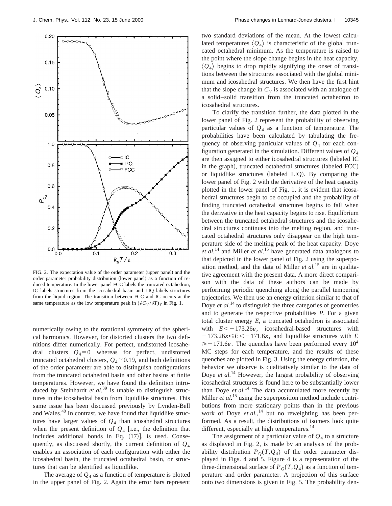

FIG. 2. The expectation value of the order parameter (upper panel) and the order parameter probability distribution (lower panel) as a function of reduced temperature. In the lower panel FCC labels the truncated octahedron, IC labels structures from the icosahedral basin and LIQ labels structures from the liquid region. The transition between FCC and IC occurs at the same temperature as the low temperature peak in  $(\partial C_V / \partial T)_V$  in Fig. 1.

numerically owing to the rotational symmetry of the spherical harmonics. However, for distorted clusters the two definitions differ numerically. For perfect, undistorted icosahedral clusters  $Q_4=0$  whereas for perfect, undistorted truncated octahedral clusters,  $Q_4 \cong 0.19$ , and both definitions of the order parameter are able to distinguish configurations from the truncated octahedral basin and other basins at finite temperatures. However, we have found the definition introduced by Steinhardt *et al.*<sup>39</sup> is unable to distinguish structures in the icosahedral basin from liquidlike structures. This same issue has been discussed previously by Lynden-Bell and Wales.<sup>40</sup> In contrast, we have found that liquidlike structures have larger values of  $Q_4$  than icosahedral structures when the present definition of  $Q_4$  [i.e., the definition that includes additional bonds in Eq.  $(17)$ ], is used. Consequently, as discussed shortly, the current definition of *Q*<sup>4</sup> enables an association of each configuration with either the icosahedral basin, the truncated octahedral basin, or structures that can be identified as liquidlike.

The average of  $Q_4$  as a function of temperature is plotted in the upper panel of Fig. 2. Again the error bars represent two standard deviations of the mean. At the lowest calculated temperatures  $\langle Q_4 \rangle$  is characteristic of the global truncated octahedral minimum. As the temperature is raised to the point where the slope change begins in the heat capacity,  $\langle Q_4 \rangle$  begins to drop rapidly signifying the onset of transitions between the structures associated with the global minimum and icosahedral structures. We then have the first hint that the slope change in  $C_V$  is associated with an analogue of a solid–solid transition from the truncated octahedron to icosahedral structures.

To clarify the transition further, the data plotted in the lower panel of Fig. 2 represent the probability of observing particular values of  $Q_4$  as a function of temperature. The probabilities have been calculated by tabulating the frequency of observing particular values of *Q*<sup>4</sup> for each configuration generated in the simulation. Different values of *Q*<sup>4</sup> are then assigned to either icosahedral structures (labeled IC in the graph), truncated octahedral structures (labeled FCC) or liquidlike structures (labeled LIQ). By comparing the lower panel of Fig. 2 with the derivative of the heat capacity plotted in the lower panel of Fig. 1, it is evident that icosahedral structures begin to be occupied and the probability of finding truncated octahedral structures begins to fall when the derivative in the heat capacity begins to rise. Equilibrium between the truncated octahedral structures and the icosahedral structures continues into the melting region, and truncated octahedral structures only disappear on the high temperature side of the melting peak of the heat capacity. Doye *et al.*<sup>14</sup> and Miller *et al.*<sup>15</sup> have generated data analogous to that depicted in the lower panel of Fig. 2 using the superposition method, and the data of Miller *et al.*<sup>15</sup> are in qualitative agreement with the present data. A more direct comparison with the data of these authors can be made by performing periodic quenching along the parallel tempering trajectories. We then use an energy criterion similar to that of Doye *et al.*<sup>14</sup> to distinguish the three categories of geometries and to generate the respective probabilities *P*. For a given total cluster energy *E*, a truncated octahedron is associated with  $E< -173.26\varepsilon$ , icosahedral-based structures with  $-173.26\varepsilon \leq E \leq -171.6\varepsilon$ , and liquidlike structures with *E*  $\geq -171.6\varepsilon$ . The quenches have been performed every  $10^4$ MC steps for each temperature, and the results of these quenches are plotted in Fig. 3. Using the energy criterion, the behavior we observe is qualitatively similar to the data of Doye *et al.*<sup>14</sup> However, the largest probability of observing icosahedral structures is found here to be substantially lower than Doye *et al.*<sup>14</sup> The data accumulated more recently by Miller *et al.*<sup>15</sup> using the superposition method include contributions from more stationary points than in the previous work of Doye et al.,<sup>14</sup> but no reweighting has been performed. As a result, the distributions of isomers look quite different, especially at high temperatures.<sup>14</sup>

The assignment of a particular value of  $Q_4$  to a structure as displayed in Fig. 2, is made by an analysis of the probability distribution  $P<sub>O</sub>(T,Q<sub>4</sub>)$  of the order parameter displayed in Figs. 4 and 5. Figure 4 is a representation of the three-dimensional surface of  $P<sub>O</sub>(T,Q<sub>4</sub>)$  as a function of temperature and order parameter. A projection of this surface onto two dimensions is given in Fig. 5. The probability den-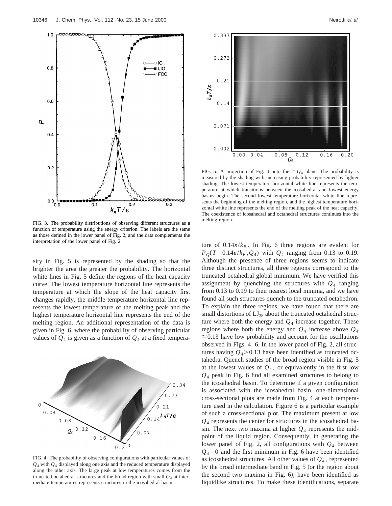

FIG. 3. The probability distributions of observing different structures as a function of temperature using the energy criterion. The labels are the same as those defined in the lower panel of Fig. 2, and the data complements the interpretation of the lower panel of Fig. 2

sity in Fig. 5 is represented by the shading so that the brighter the area the greater the probability. The horizontal white lines in Fig. 5 define the regions of the heat capacity curve. The lowest temperature horizontal line represents the temperature at which the slope of the heat capacity first changes rapidly, the middle temperature horizontal line represents the lowest temperature of the melting peak and the highest temperature horizontal line represents the end of the melting region. An additional representation of the data is given in Fig. 6, where the probability of observing particular values of  $Q_4$  is given as a function of  $Q_4$  at a fixed tempera-



FIG. 4. The probability of observing configurations with particular values of *Q*<sup>4</sup> with *Q*<sup>4</sup> displayed along one axis and the reduced temperature displayed along the other axis. The large peak at low temperatures comes from the truncated octahedral structures and the broad region with small  $Q_4$  at intermediate temperatures represents structures in the icosahedral basin.



FIG. 5. A projection of Fig. 4 onto the *T*-*Q*<sup>4</sup> plane. The probability is measured by the shading with increasing probability represented by lighter shading. The lowest temperature horizontal white line represents the temperature at which transitions between the icosahedral and lowest energy basins begin. The second lowest temperature horizontal white line represents the beginning of the melting region, and the highest temperature horizontal white line represents the end of the melting peak of the heat capacity. The coexistence of icosahedral and octahedral structures continues into the melting region.

ture of  $0.14\varepsilon/k_B$ . In Fig. 6 three regions are evident for  $P_{0}(T=0.14\varepsilon/k_{B}, Q_{4})$  with  $Q_{4}$  ranging from 0.13 to 0.19. Although the presence of three regions seems to indicate three distinct structures, all three regions correspond to the truncated octahedral global minimum. We have verified this assignment by quenching the structures with  $Q_4$  ranging from 0.13 to 0.19 to their nearest local minima, and we have found all such structures quench to the truncated octahedron. To explain the three regions, we have found that there are small distortions of  $LI_{38}$  about the truncated octahedral structure where both the energy and  $Q_4$  increase together. These regions where both the energy and  $Q_4$  increase above  $Q_4$  $\approx 0.13$  have low probability and account for the oscillations observed in Figs. 4–6. In the lower panel of Fig. 2, all structures having  $Q_4$  > 0.13 have been identified as truncated octahedra. Quench studies of the broad region visible in Fig. 5 at the lowest values of  $Q_4$ , or equivalently in the first low *Q*<sup>4</sup> peak in Fig. 6 find all examined structures to belong to the icosahedral basin. To determine if a given configuration is associated with the icosahedral basin, one-dimensional cross-sectional plots are made from Fig. 4 at each temperature used in the calculation. Figure 6 is a particular example of such a cross-sectional plot. The maximum present at low *Q*<sup>4</sup> represents the center for structures in the icosahedral basin. The next two maxima at higher  $Q_4$  represents the midpoint of the liquid region. Consequently, in generating the lower panel of Fig. 2, all configurations with  $Q_4$  between  $Q_4$ =0 and the first minimum in Fig. 6 have been identified as icosahedral structures. All other values of *Q*<sup>4</sup> , represented by the broad intermediate band in Fig. 5 (or the region about the second two maxima in Fig.  $6$ ), have been identified as liquidlike structures. To make these identifications, separate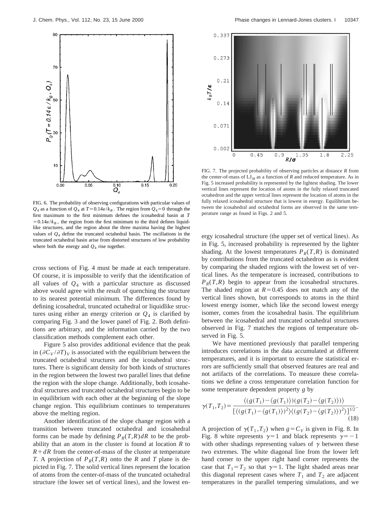



FIG. 7. The projected probability of observing particles at distance *R* from the center-of-mass of  $LJ_{38}$  as a function of *R* and reduced temperature. As in Fig. 5 increased probability is represented by the lightest shading. The lower vertical lines represent the location of atoms in the fully relaxed truncated octahedron and the upper vertical lines represent the location of atoms in the fully relaxed icosahedral structure that is lowest in energy. Equilibrium between the icosahedral and octahedral forms are observed in the same temperature range as found in Figs. 2 and 5.

FIG. 6. The probability of observing configurations with particular values of  $Q_4$  as a function of  $Q_4$  at  $T=0.14\varepsilon/k_B$ . The region from  $Q_4=0$  through the first maximum to the first minimum defines the icosahedral basin at *T*  $=0.14\varepsilon/k_B$ , the region from the first minimum to the third defines liquidlike structures, and the region about the three maxima having the highest values of *Q*<sup>4</sup> define the truncated octahedral basin. The oscillations in the truncated octahedral basin arise from distorted structures of low probability where both the energy and  $Q_4$  rise together.

cross sections of Fig. 4 must be made at each temperature. Of course, it is impossible to verify that the identification of all values of *Q*<sup>4</sup> with a particular structure as discussed above would agree with the result of quenching the structure to its nearest potential minimum. The differences found by defining icosahedral, truncated octahedral or liquidlike structures using either an energy criterion or  $Q_4$  is clarified by comparing Fig. 3 and the lower panel of Fig. 2. Both definitions are arbitrary, and the information carried by the two classification methods complement each other.

Figure 5 also provides additional evidence that the peak in  $(\partial C_V / \partial T)_V$  is associated with the equilibrium between the truncated octahedral structures and the icosahedral structures. There is significant density for both kinds of structures in the region between the lowest two parallel lines that define the region with the slope change. Additionally, both icosahedral structures and truncated octahedral structures begin to be in equilibrium with each other at the beginning of the slope change region. This equilibrium continues to temperatures above the melting region.

Another identification of the slope change region with a transition between truncated octahedral and icosahedral forms can be made by defining  $P_R(T,R) dR$  to be the probability that an atom in the cluster is found at location *R* to  $R+dR$  from the center-of-mass of the cluster at temperature *T*. A projection of  $P_R(T,R)$  onto the *R* and *T* plane is depicted in Fig. 7. The solid vertical lines represent the location of atoms from the center-of-mass of the truncated octahedral structure (the lower set of vertical lines), and the lowest energy icosahedral structure (the upper set of vertical lines). As in Fig. 5, increased probability is represented by the lighter shading. At the lowest temperatures  $P_R(T,R)$  is dominated by contributions from the truncated octahedron as is evident by comparing the shaded regions with the lowest set of vertical lines. As the temperature is increased, contributions to  $P_R(T,R)$  begin to appear from the icosahedral structures. The shaded region at  $R=0.45$  does not match any of the vertical lines shown, but corresponds to atoms in the third lowest energy isomer, which like the second lowest energy isomer, comes from the icosahedral basin. The equilibrium between the icosahedral and truncated octahedral structures observed in Fig. 7 matches the regions of temperature observed in Fig. 5.

We have mentioned previously that parallel tempering introduces correlations in the data accumulated at different temperatures, and it is important to ensure the statistical errors are sufficiently small that observed features are real and not artifacts of the correlations. To measure these correlations we define a cross temperature correlation function for some temperature dependent property *g* by

$$
\gamma(T_1, T_2) = \frac{\langle (g(T_1) - \langle g(T_1) \rangle)(g(T_2) - \langle g(T_2) \rangle) \rangle}{[\langle (g(T_1) - \langle g(T_1) \rangle)^2 \rangle \langle (g(T_2) - \langle g(T_2) \rangle)^2 \rangle]^{1/2}}.
$$
\n(18)

A projection of  $\gamma(T_1, T_2)$  when  $g = C_V$  is given in Fig. 8. In Fig. 8 white represents  $\gamma=1$  and black represents  $\gamma=-1$ with other shadings representing values of  $\gamma$  between these two extremes. The white diagonal line from the lower left hand corner to the upper right hand corner represents the case that  $T_1 = T_2$  so that  $\gamma = 1$ . The light shaded areas near this diagonal represent cases where  $T_1$  and  $T_2$  are adjacent temperatures in the parallel tempering simulations, and we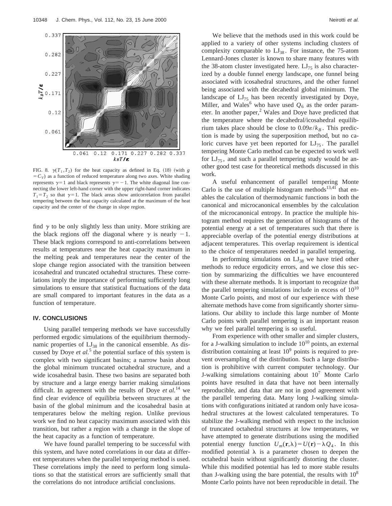

FIG. 8.  $\gamma(T_1, T_2)$  for the heat capacity as defined in Eq. (18) (with *g*  $=$   $C_V$ ) as a function of reduced temperature along two axes. White shading represents  $\gamma=1$  and black represents  $\gamma=-1$ . The white diagonal line connecting the lower left-hand corner with the upper right-hand corner indicates  $T_1 = T_2$  so that  $\gamma = 1$ . The black areas show anticorrelation from parallel tempering between the heat capacity calculated at the maximum of the heat capacity and the center of the change in slope region.

find  $\gamma$  to be only slightly less than unity. More striking are the black regions off the diagonal where  $\gamma$  is nearly  $-1$ . These black regions correspond to anti-correlations between results at temperatures near the heat capacity maximum in the melting peak and temperatures near the center of the slope change region associated with the transition between icosahedral and truncated octahedral structures. These correlations imply the importance of performing sufficiently long simulations to ensure that statistical fluctuations of the data are small compared to important features in the data as a function of temperature.

#### **IV. CONCLUSIONS**

Using parallel tempering methods we have successfully performed ergodic simulations of the equilibrium thermodynamic properties of  $LI_{38}$  in the canonical ensemble. As discussed by Doye *et al.*<sup>5</sup> the potential surface of this system is complex with two significant basins; a narrow basin about the global minimum truncated octahedral structure, and a wide icosahedral basin. These two basins are separated both by structure and a large energy barrier making simulations difficult. In agreement with the results of Doye *et al.*<sup>14</sup> we find clear evidence of equilibria between structures at the basin of the global minimum and the icosahedral basin at temperatures below the melting region. Unlike previous work we find no heat capacity maximum associated with this transition, but rather a region with a change in the slope of the heat capacity as a function of temperature.

We have found parallel tempering to be successful with this system, and have noted correlations in our data at different temperatures when the parallel tempering method is used. These correlations imply the need to perform long simulations so that the statistical errors are sufficiently small that the correlations do not introduce artificial conclusions.

We believe that the methods used in this work could be applied to a variety of other systems including clusters of complexity comparable to  $LJ_{38}$ . For instance, the 75-atom Lennard-Jones cluster is known to share many features with the 38-atom cluster investigated here.  $LJ_{75}$  is also characterized by a double funnel energy landscape, one funnel being associated with icosahedral structures, and the other funnel being associated with the decahedral global minimum. The landscape of  $LI_{75}$  has been recently investigated by Doye, Miller, and Wales<sup>6</sup> who have used  $Q_6$  as the order parameter. In another paper, $<sup>2</sup>$  Wales and Doye have predicted that</sup> the temperature where the decahedral/icosahedral equilibrium takes place should be close to  $0.09\varepsilon/k_B$ . This prediction is made by using the superposition method, but no caloric curves have yet been reported for  $LI_{75}$ . The parallel tempering Monte Carlo method can be expected to work well for  $LI_{75}$ , and such a parallel tempering study would be another good test case for theoretical methods discussed in this work.

A useful enhancement of parallel tempering Monte Carlo is the use of multiple histogram methods<sup>13,41</sup> that enables the calculation of thermodynamic functions in both the canonical and microcanonical ensembles by the calculation of the microcanonical entropy. In practice the multiple histogram method requires the generation of histograms of the potential energy at a set of temperatures such that there is appreciable overlap of the potential energy distributions at adjacent temperatures. This overlap requirement is identical to the choice of temperatures needed in parallel tempering.

In performing simulations on  $LJ_{38}$  we have tried other methods to reduce ergodicity errors, and we close this section by summarizing the difficulties we have encountered with these alternate methods. It is important to recognize that the parallel tempering simulations include in excess of  $10^{10}$ Monte Carlo points, and most of our experience with these alternate methods have come from significantly shorter simulations. Our ability to include this large number of Monte Carlo points with parallel tempering is an important reason why we feel parallel tempering is so useful.

From experience with other smaller and simpler clusters, for a J-walking simulation to include  $10^{10}$  points, an external distribution containing at least  $10<sup>9</sup>$  points is required to prevent oversampling of the distribution. Such a large distribution is prohibitive with current computer technology. Our J-walking simulations containing about  $10<sup>7</sup>$  Monte Carlo points have resulted in data that have not been internally reproducible, and data that are not in good agreement with the parallel tempering data. Many long J-walking simulations with configurations initiated at random only have icosahedral structures at the lowest calculated temperatures. To stabilize the J-walking method with respect to the inclusion of truncated octahedral structures at low temperatures, we have attempted to generate distributions using the modified potential energy function  $U_m(\mathbf{r},\lambda)=U(\mathbf{r})-\lambda Q_4$ . In this modified potential  $\lambda$  is a parameter chosen to deepen the octahedral basin without significantly distorting the cluster. While this modified potential has led to more stable results than J-walking using the bare potential, the results with  $10<sup>8</sup>$ Monte Carlo points have not been reproducible in detail. The